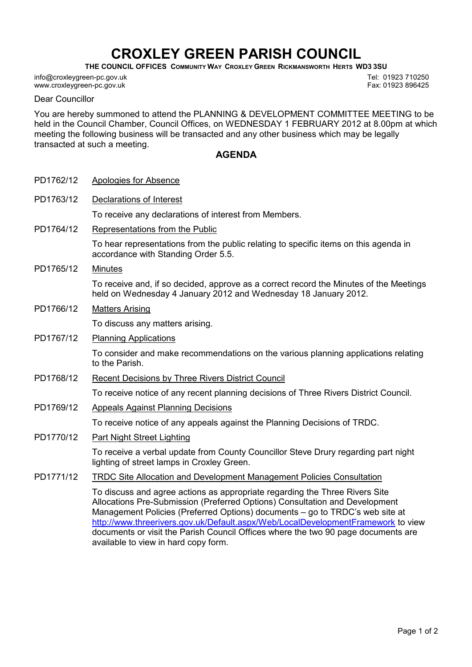# CROXLEY GREEN PARISH COUNCIL

THE COUNCIL OFFICES COMMUNITY WAY CROXLEY GREEN RICKMANSWORTH HERTS WD3 3SU

info@croxleygreen-pc.gov.uk www.croxleygreen-pc.gov.uk

Tel: 01923 710250 Fax: 01923 896425

### Dear Councillor

You are hereby summoned to attend the PLANNING & DEVELOPMENT COMMITTEE MEETING to be held in the Council Chamber, Council Offices, on WEDNESDAY 1 FEBRUARY 2012 at 8.00pm at which meeting the following business will be transacted and any other business which may be legally transacted at such a meeting.

## AGENDA

| PD1762/12 | Apologies for Absence                                                                                                                                                                                                                                                                                                                                                                                                                                       |
|-----------|-------------------------------------------------------------------------------------------------------------------------------------------------------------------------------------------------------------------------------------------------------------------------------------------------------------------------------------------------------------------------------------------------------------------------------------------------------------|
| PD1763/12 | <b>Declarations of Interest</b>                                                                                                                                                                                                                                                                                                                                                                                                                             |
|           | To receive any declarations of interest from Members.                                                                                                                                                                                                                                                                                                                                                                                                       |
| PD1764/12 | Representations from the Public                                                                                                                                                                                                                                                                                                                                                                                                                             |
|           | To hear representations from the public relating to specific items on this agenda in<br>accordance with Standing Order 5.5.                                                                                                                                                                                                                                                                                                                                 |
| PD1765/12 | <b>Minutes</b>                                                                                                                                                                                                                                                                                                                                                                                                                                              |
|           | To receive and, if so decided, approve as a correct record the Minutes of the Meetings<br>held on Wednesday 4 January 2012 and Wednesday 18 January 2012.                                                                                                                                                                                                                                                                                                   |
| PD1766/12 | <b>Matters Arising</b>                                                                                                                                                                                                                                                                                                                                                                                                                                      |
|           | To discuss any matters arising.                                                                                                                                                                                                                                                                                                                                                                                                                             |
| PD1767/12 | <b>Planning Applications</b>                                                                                                                                                                                                                                                                                                                                                                                                                                |
|           | To consider and make recommendations on the various planning applications relating<br>to the Parish.                                                                                                                                                                                                                                                                                                                                                        |
| PD1768/12 | Recent Decisions by Three Rivers District Council                                                                                                                                                                                                                                                                                                                                                                                                           |
|           | To receive notice of any recent planning decisions of Three Rivers District Council.                                                                                                                                                                                                                                                                                                                                                                        |
| PD1769/12 | <b>Appeals Against Planning Decisions</b>                                                                                                                                                                                                                                                                                                                                                                                                                   |
|           | To receive notice of any appeals against the Planning Decisions of TRDC.                                                                                                                                                                                                                                                                                                                                                                                    |
| PD1770/12 | Part Night Street Lighting                                                                                                                                                                                                                                                                                                                                                                                                                                  |
|           | To receive a verbal update from County Councillor Steve Drury regarding part night<br>lighting of street lamps in Croxley Green.                                                                                                                                                                                                                                                                                                                            |
| PD1771/12 | <b>TRDC Site Allocation and Development Management Policies Consultation</b>                                                                                                                                                                                                                                                                                                                                                                                |
|           | To discuss and agree actions as appropriate regarding the Three Rivers Site<br>Allocations Pre-Submission (Preferred Options) Consultation and Development<br>Management Policies (Preferred Options) documents - go to TRDC's web site at<br>http://www.threerivers.gov.uk/Default.aspx/Web/LocalDevelopmentFramework to view<br>documents or visit the Parish Council Offices where the two 90 page documents are<br>available to view in hard copy form. |